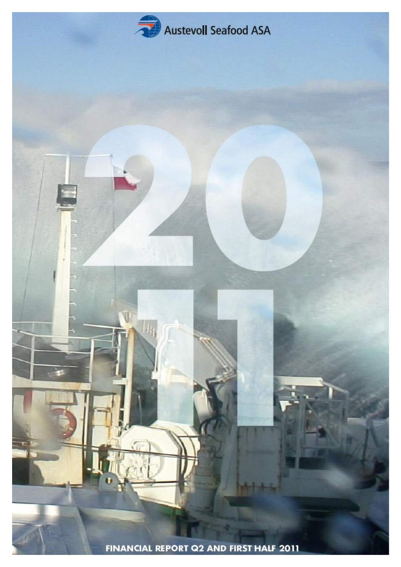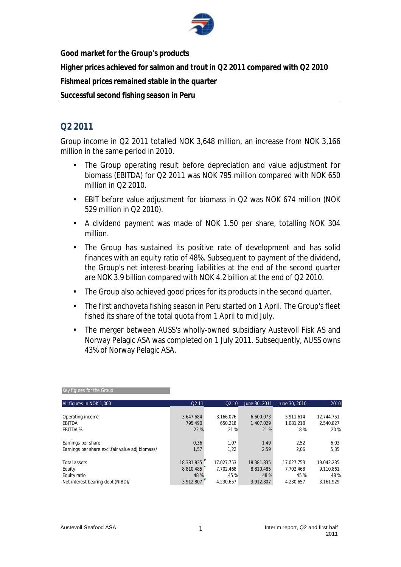

**Good market for the Group's products** 

**Higher prices achieved for salmon and trout in Q2 2011 compared with Q2 2010** 

**Fishmeal prices remained stable in the quarter** 

**Successful second fishing season in Peru** 

# **Q2 2011**

Group income in Q2 2011 totalled NOK 3,648 million, an increase from NOK 3,166 million in the same period in 2010.

- The Group operating result before depreciation and value adjustment for biomass (EBITDA) for Q2 2011 was NOK 795 million compared with NOK 650 million in Q2 2010.
- EBIT before value adjustment for biomass in Q2 was NOK 674 million (NOK 529 million in Q2 2010).
- A dividend payment was made of NOK 1.50 per share, totalling NOK 304 million.
- The Group has sustained its positive rate of development and has solid finances with an equity ratio of 48%. Subsequent to payment of the dividend, the Group's net interest-bearing liabilities at the end of the second quarter are NOK 3.9 billion compared with NOK 4.2 billion at the end of Q2 2010.
- The Group also achieved good prices for its products in the second quarter.
- The first anchoveta fishing season in Peru started on 1 April. The Group's fleet fished its share of the total quota from 1 April to mid July.
- The merger between AUSS's wholly-owned subsidiary Austevoll Fisk AS and Norway Pelagic ASA was completed on 1 July 2011. Subsequently, AUSS owns 43% of Norway Pelagic ASA.

| All figures in NOK 1,000                        | Q <sub>2</sub> 11 | Q <sub>2</sub> 10 | June 30, 2011 | June 30, 2010 | 2010       |
|-------------------------------------------------|-------------------|-------------------|---------------|---------------|------------|
|                                                 |                   |                   |               |               |            |
| Operating income                                | 3.647.684         | 3.166.076         | 6.600.073     | 5.911.614     | 12.744.751 |
| EBITDA                                          | 795.490           | 650.218           | 1.407.029     | 1.081.218     | 2.540.827  |
| <b>EBITDA %</b>                                 | 22 %              | 21 %              | 21 %          | 18%           | 20 %       |
| Earnings per share                              | 0,36              | 1,07              | 1,49          | 2,52          | 6,03       |
| Earnings per share excl.fair value adj biomass/ | 1,57              | 1,22              | 2,59          | 2.06          | 5,35       |
| Total assets                                    | 18.381.835        | 17.027.753        | 18.381.835    | 17.027.753    | 19.042.235 |
| Equity                                          | 8.810.485         | 7.702.468         | 8.810.485     | 7.702.468     | 9.110.861  |
| Equity ratio                                    | 48 %              | 45 %              | 48 %          | 45 %          | 48 %       |
| Net interest bearing debt (NIBD)/               | 3.912.807         | 4.230.657         | 3.912.807     | 4.230.657     | 3.161.929  |

#### Key figures for the Group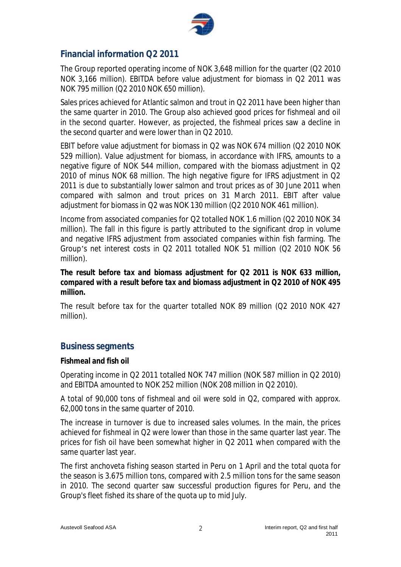

# **Financial information Q2 2011**

The Group reported operating income of NOK 3,648 million for the quarter (Q2 2010 NOK 3,166 million). EBITDA before value adjustment for biomass in Q2 2011 was NOK 795 million (Q2 2010 NOK 650 million).

Sales prices achieved for Atlantic salmon and trout in Q2 2011 have been higher than the same quarter in 2010. The Group also achieved good prices for fishmeal and oil in the second quarter. However, as projected, the fishmeal prices saw a decline in the second quarter and were lower than in Q2 2010.

EBIT before value adjustment for biomass in Q2 was NOK 674 million (Q2 2010 NOK 529 million). Value adjustment for biomass, in accordance with IFRS, amounts to a negative figure of NOK 544 million, compared with the biomass adjustment in Q2 2010 of minus NOK 68 million. The high negative figure for IFRS adjustment in Q2 2011 is due to substantially lower salmon and trout prices as of 30 June 2011 when compared with salmon and trout prices on 31 March 2011. EBIT after value adjustment for biomass in Q2 was NOK 130 million (Q2 2010 NOK 461 million).

Income from associated companies for Q2 totalled NOK 1.6 million (Q2 2010 NOK 34 million). The fall in this figure is partly attributed to the significant drop in volume and negative IFRS adjustment from associated companies within fish farming. The Group's net interest costs in Q2 2011 totalled NOK 51 million (Q2 2010 NOK 56 million).

*The result before tax and biomass adjustment for Q2 2011 is NOK 633 million, compared with a result before tax and biomass adjustment in Q2 2010 of NOK 495 million.* 

The result before tax for the quarter totalled NOK 89 million (Q2 2010 NOK 427 million).

### **Business segments**

#### **Fishmeal and fish oil**

Operating income in Q2 2011 totalled NOK 747 million (NOK 587 million in Q2 2010) and EBITDA amounted to NOK 252 million (NOK 208 million in Q2 2010).

A total of 90,000 tons of fishmeal and oil were sold in Q2, compared with approx. 62,000 tons in the same quarter of 2010.

The increase in turnover is due to increased sales volumes. In the main, the prices achieved for fishmeal in Q2 were lower than those in the same quarter last year. The prices for fish oil have been somewhat higher in Q2 2011 when compared with the same quarter last year.

The first anchoveta fishing season started in Peru on 1 April and the total quota for the season is 3.675 million tons, compared with 2.5 million tons for the same season in 2010. The second quarter saw successful production figures for Peru, and the Group's fleet fished its share of the quota up to mid July.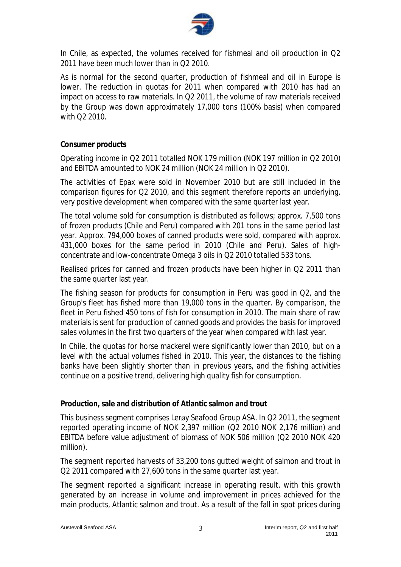

In Chile, as expected, the volumes received for fishmeal and oil production in Q2 2011 have been much lower than in Q2 2010.

As is normal for the second quarter, production of fishmeal and oil in Europe is lower. The reduction in quotas for 2011 when compared with 2010 has had an impact on access to raw materials. In Q2 2011, the volume of raw materials received by the Group was down approximately 17,000 tons (100% basis) when compared with Q2 2010.

#### **Consumer products**

Operating income in Q2 2011 totalled NOK 179 million (NOK 197 million in Q2 2010) and EBITDA amounted to NOK 24 million (NOK 24 million in Q2 2010).

The activities of Epax were sold in November 2010 but are still included in the comparison figures for Q2 2010, and this segment therefore reports an underlying, very positive development when compared with the same quarter last year.

The total volume sold for consumption is distributed as follows; approx. 7,500 tons of frozen products (Chile and Peru) compared with 201 tons in the same period last year. Approx. 794,000 boxes of canned products were sold, compared with approx. 431,000 boxes for the same period in 2010 (Chile and Peru). Sales of highconcentrate and low-concentrate Omega 3 oils in Q2 2010 totalled 533 tons.

Realised prices for canned and frozen products have been higher in Q2 2011 than the same quarter last year.

The fishing season for products for consumption in Peru was good in Q2, and the Group's fleet has fished more than 19,000 tons in the quarter. By comparison, the fleet in Peru fished 450 tons of fish for consumption in 2010. The main share of raw materials is sent for production of canned goods and provides the basis for improved sales volumes in the first two quarters of the year when compared with last year.

In Chile, the quotas for horse mackerel were significantly lower than 2010, but on a level with the actual volumes fished in 2010. This year, the distances to the fishing banks have been slightly shorter than in previous years, and the fishing activities continue on a positive trend, delivering high quality fish for consumption.

**Production, sale and distribution of Atlantic salmon and trout** 

This business segment comprises Lerøy Seafood Group ASA. In Q2 2011, the segment reported operating income of NOK 2,397 million (Q2 2010 NOK 2,176 million) and EBITDA before value adjustment of biomass of NOK 506 million (Q2 2010 NOK 420 million).

The segment reported harvests of 33,200 tons gutted weight of salmon and trout in Q2 2011 compared with 27,600 tons in the same quarter last year.

The segment reported a significant increase in operating result, with this growth generated by an increase in volume and improvement in prices achieved for the main products, Atlantic salmon and trout. As a result of the fall in spot prices during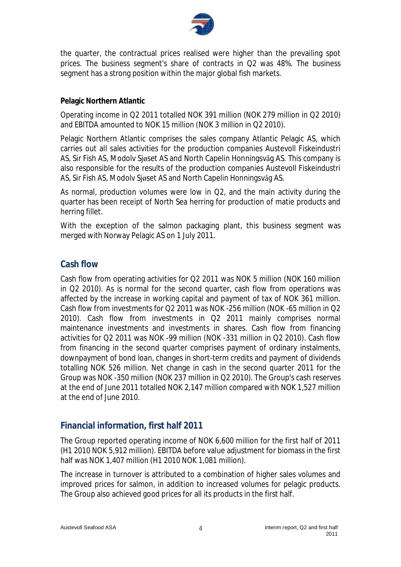

the quarter, the contractual prices realised were higher than the prevailing spot prices. The business segment's share of contracts in Q2 was 48%. The business segment has a strong position within the major global fish markets.

#### **Pelagic Northern Atlantic**

Operating income in Q2 2011 totalled NOK 391 million (NOK 279 million in Q2 2010) and EBITDA amounted to NOK 15 million (NOK 3 million in Q2 2010).

Pelagic Northern Atlantic comprises the sales company Atlantic Pelagic AS, which carries out all sales activities for the production companies Austevoll Fiskeindustri AS, Sir Fish AS, Modolv Sjøset AS and North Capelin Honningsvåg AS. This company is also responsible for the results of the production companies Austevoll Fiskeindustri AS, Sir Fish AS, Modolv Sjøset AS and North Capelin Honningsvåg AS.

As normal, production volumes were low in Q2, and the main activity during the quarter has been receipt of North Sea herring for production of matie products and herring fillet.

With the exception of the salmon packaging plant, this business segment was merged with Norway Pelagic AS on 1 July 2011.

### **Cash flow**

Cash flow from operating activities for Q2 2011 was NOK 5 million (NOK 160 million in Q2 2010). As is normal for the second quarter, cash flow from operations was affected by the increase in working capital and payment of tax of NOK 361 million. Cash flow from investments for Q2 2011 was NOK -256 million (NOK -65 million in Q2 2010). Cash flow from investments in Q2 2011 mainly comprises normal maintenance investments and investments in shares. Cash flow from financing activities for Q2 2011 was NOK -99 million (NOK -331 million in Q2 2010). Cash flow from financing in the second quarter comprises payment of ordinary instalments, downpayment of bond loan, changes in short-term credits and payment of dividends totalling NOK 526 million. Net change in cash in the second quarter 2011 for the Group was NOK -350 million (NOK 237 million in Q2 2010). The Group's cash reserves at the end of June 2011 totalled NOK 2,147 million compared with NOK 1,527 million at the end of June 2010.

### **Financial information, first half 2011**

The Group reported operating income of NOK 6,600 million for the first half of 2011 (H1 2010 NOK 5,912 million). EBITDA before value adjustment for biomass in the first half was NOK 1,407 million (H1 2010 NOK 1,081 million).

The increase in turnover is attributed to a combination of higher sales volumes and improved prices for salmon, in addition to increased volumes for pelagic products. The Group also achieved good prices for all its products in the first half.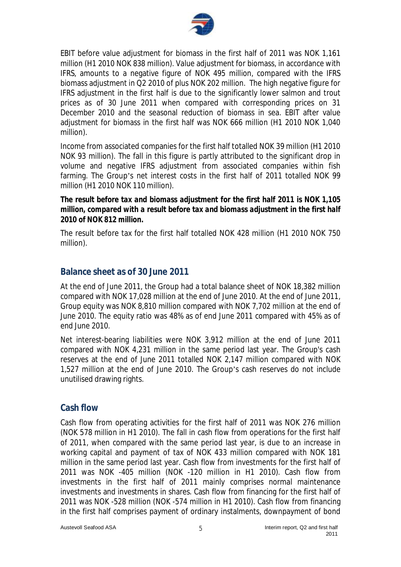

EBIT before value adjustment for biomass in the first half of 2011 was NOK 1,161 million (H1 2010 NOK 838 million). Value adjustment for biomass, in accordance with IFRS, amounts to a negative figure of NOK 495 million, compared with the IFRS biomass adjustment in Q2 2010 of plus NOK 202 million. The high negative figure for IFRS adjustment in the first half is due to the significantly lower salmon and trout prices as of 30 June 2011 when compared with corresponding prices on 31 December 2010 and the seasonal reduction of biomass in sea. EBIT after value adjustment for biomass in the first half was NOK 666 million (H1 2010 NOK 1,040 million).

Income from associated companies for the first half totalled NOK 39 million (H1 2010 NOK 93 million). The fall in this figure is partly attributed to the significant drop in volume and negative IFRS adjustment from associated companies within fish farming. The Group's net interest costs in the first half of 2011 totalled NOK 99 million (H1 2010 NOK 110 million).

*The result before tax and biomass adjustment for the first half 2011 is NOK 1,105 million, compared with a result before tax and biomass adjustment in the first half 2010 of NOK 812 million.* 

The result before tax for the first half totalled NOK 428 million (H1 2010 NOK 750 million).

## **Balance sheet as of 30 June 2011**

At the end of June 2011, the Group had a total balance sheet of NOK 18,382 million compared with NOK 17,028 million at the end of June 2010. At the end of June 2011, Group equity was NOK 8,810 million compared with NOK 7,702 million at the end of June 2010. The equity ratio was 48% as of end June 2011 compared with 45% as of end June 2010.

Net interest-bearing liabilities were NOK 3,912 million at the end of June 2011 compared with NOK 4,231 million in the same period last year. The Group's cash reserves at the end of June 2011 totalled NOK 2,147 million compared with NOK 1,527 million at the end of June 2010. The Group's cash reserves do not include unutilised drawing rights.

### **Cash flow**

Cash flow from operating activities for the first half of 2011 was NOK 276 million (NOK 578 million in H1 2010). The fall in cash flow from operations for the first half of 2011, when compared with the same period last year, is due to an increase in working capital and payment of tax of NOK 433 million compared with NOK 181 million in the same period last year. Cash flow from investments for the first half of 2011 was NOK -405 million (NOK -120 million in H1 2010). Cash flow from investments in the first half of 2011 mainly comprises normal maintenance investments and investments in shares. Cash flow from financing for the first half of 2011 was NOK -528 million (NOK -574 million in H1 2010). Cash flow from financing in the first half comprises payment of ordinary instalments, downpayment of bond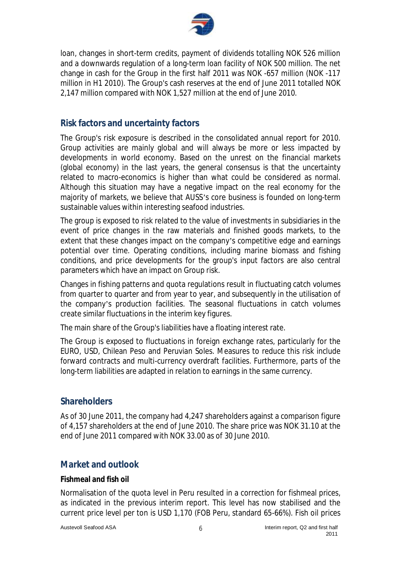

loan, changes in short-term credits, payment of dividends totalling NOK 526 million and a downwards regulation of a long-term loan facility of NOK 500 million. The net change in cash for the Group in the first half 2011 was NOK -657 million (NOK -117 million in H1 2010). The Group's cash reserves at the end of June 2011 totalled NOK 2,147 million compared with NOK 1,527 million at the end of June 2010.

# **Risk factors and uncertainty factors**

The Group's risk exposure is described in the consolidated annual report for 2010. Group activities are mainly global and will always be more or less impacted by developments in world economy. Based on the unrest on the financial markets (global economy) in the last years, the general consensus is that the uncertainty related to macro-economics is higher than what could be considered as normal. Although this situation may have a negative impact on the real economy for the majority of markets, we believe that AUSS's core business is founded on long-term sustainable values within interesting seafood industries.

The group is exposed to risk related to the value of investments in subsidiaries in the event of price changes in the raw materials and finished goods markets, to the extent that these changes impact on the company's competitive edge and earnings potential over time. Operating conditions, including marine biomass and fishing conditions, and price developments for the group's input factors are also central parameters which have an impact on Group risk.

Changes in fishing patterns and quota regulations result in fluctuating catch volumes from quarter to quarter and from year to year, and subsequently in the utilisation of the company's production facilities. The seasonal fluctuations in catch volumes create similar fluctuations in the interim key figures.

The main share of the Group's liabilities have a floating interest rate.

The Group is exposed to fluctuations in foreign exchange rates, particularly for the EURO, USD, Chilean Peso and Peruvian Soles. Measures to reduce this risk include forward contracts and multi-currency overdraft facilities. Furthermore, parts of the long-term liabilities are adapted in relation to earnings in the same currency.

# **Shareholders**

As of 30 June 2011, the company had 4,247 shareholders against a comparison figure of 4,157 shareholders at the end of June 2010. The share price was NOK 31.10 at the end of June 2011 compared with NOK 33.00 as of 30 June 2010.

# **Market and outlook**

#### **Fishmeal and fish oil**

Normalisation of the quota level in Peru resulted in a correction for fishmeal prices, as indicated in the previous interim report. This level has now stabilised and the current price level per ton is USD 1,170 (FOB Peru, standard 65-66%). Fish oil prices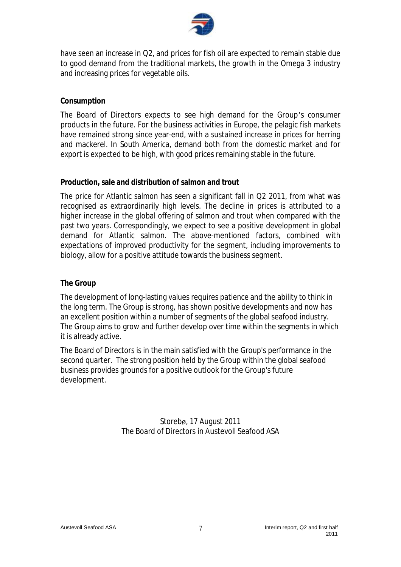

have seen an increase in Q2, and prices for fish oil are expected to remain stable due to good demand from the traditional markets, the growth in the Omega 3 industry and increasing prices for vegetable oils.

#### **Consumption**

The Board of Directors expects to see high demand for the Group's consumer products in the future. For the business activities in Europe, the pelagic fish markets have remained strong since year-end, with a sustained increase in prices for herring and mackerel. In South America, demand both from the domestic market and for export is expected to be high, with good prices remaining stable in the future.

### **Production, sale and distribution of salmon and trout**

The price for Atlantic salmon has seen a significant fall in Q2 2011, from what was recognised as extraordinarily high levels. The decline in prices is attributed to a higher increase in the global offering of salmon and trout when compared with the past two years. Correspondingly, we expect to see a positive development in global demand for Atlantic salmon. The above-mentioned factors, combined with expectations of improved productivity for the segment, including improvements to biology, allow for a positive attitude towards the business segment.

### **The Group**

The development of long-lasting values requires patience and the ability to think in the long term. The Group is strong, has shown positive developments and now has an excellent position within a number of segments of the global seafood industry. The Group aims to grow and further develop over time within the segments in which it is already active.

The Board of Directors is in the main satisfied with the Group's performance in the second quarter. The strong position held by the Group within the global seafood business provides grounds for a positive outlook for the Group's future development.

> Storebø, 17 August 2011 The Board of Directors in Austevoll Seafood ASA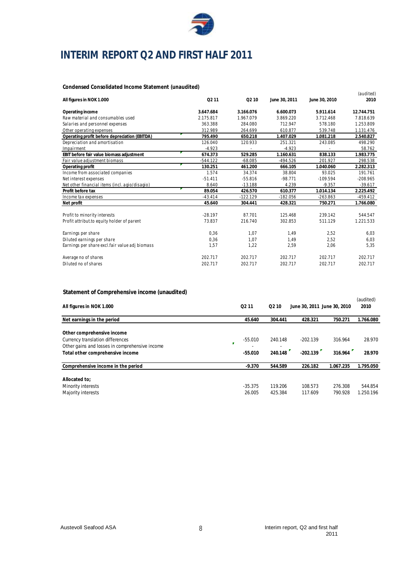

# **INTERIM REPORT Q2 AND FIRST HALF 2011**

#### **Condensed Consolidated Income Statement (unaudited)**

|                                                |                   |                   |               |               | (audited)  |
|------------------------------------------------|-------------------|-------------------|---------------|---------------|------------|
| All figures in NOK 1.000                       | Q <sub>2</sub> 11 | Q <sub>2</sub> 10 | June 30, 2011 | June 30, 2010 | 2010       |
| Operating income                               | 3.647.684         | 3.166.076         | 6.600.073     | 5.911.614     | 12.744.751 |
| Raw material and consumables used              | 2.175.817         | 1.967.079         | 3.869.220     | 3.712.468     | 7.818.639  |
| Salaries and personnel expenses                | 363.388           | 284.080           | 712.947       | 578.180       | 1.253.809  |
| Other operating expenses                       | 312.989           | 264.699           | 610.877       | 539.748       | 1.131.476  |
| Operating profit before depreciation (EBITDA)  | 795.490           | 650.218           | 1.407.029     | 1.081.218     | 2.540.827  |
| Depreciation and amortisation                  | 126.040           | 120.933           | 251.321       | 243.085       | 498.290    |
| Impairment                                     | $-4.923$          |                   | $-4.923$      |               | 58.762     |
| EBIT before fair value biomass adjustment      | 674.373           | 529.285           | 1.160.631     | 838.133       | 1.983.775  |
| Fair value adjustment biomass                  | $-544.122$        | $-68.085$         | -494.526      | 201.927       | 298.538    |
| Operating profit                               | 130.251           | 461.200           | 666.105       | 1.040.060     | 2.282.313  |
| Income from associated companies               | 1.574             | 34.374            | 38.804        | 93.025        | 191.761    |
| Net interest expenses                          | $-51.411$         | $-55.816$         | $-98.771$     | $-109.594$    | $-208.965$ |
| Net other financial items (incl. agio/disagio) | 8.640             | $-13.188$         | 4.239         | $-9.357$      | $-39.617$  |
| Profit before tax                              | 89.054            | 426.570           | 610.377       | 1.014.134     | 2.225.492  |
| Income tax expenses                            | $-43.414$         | $-122.129$        | $-182.056$    | $-263.863$    | $-459.412$ |
| Net profit                                     | 45.640            | 304.441           | 428.321       | 750.271       | 1.766.080  |
| Profit to minority interests                   | $-28.197$         | 87.701            | 125.468       | 239.142       | 544.547    |
| Profit attribut to equity holder of parent     | 73.837            | 216.740           | 302.853       | 511.129       | 1.221.533  |
|                                                |                   |                   |               |               |            |
| Earnings per share                             | 0,36              | 1,07              | 1,49          | 2,52          | 6,03       |
| Diluted earnings per share                     | 0,36              | 1,07              | 1,49          | 2,52          | 6,03       |
| Earnings per share excl.fair value adj biomass | 1,57              | 1,22              | 2,59          | 2,06          | 5,35       |
| Average no of shares                           | 202.717           | 202.717           | 202.717       | 202.717       | 202.717    |
| Diluted no of shares                           | 202.717           | 202.717           | 202.717       | 202.717       | 202.717    |

#### **Statement of Comprehensive income (unaudited)**

| <u>Underwished to complete the modific fundant cup</u>                                                                                                    |                        |                    |                             |                    |                      |
|-----------------------------------------------------------------------------------------------------------------------------------------------------------|------------------------|--------------------|-----------------------------|--------------------|----------------------|
| All figures in NOK 1.000                                                                                                                                  | Q <sub>2</sub> 11      | Q <sub>2</sub> 10  | June 30, 2011 June 30, 2010 |                    | (audited)<br>2010    |
| Net earnings in the period                                                                                                                                | 45.640                 | 304.441            | 428.321                     | 750.271            | 1.766.080            |
| Other comprehensive income<br>Currency translation differences<br>F<br>Other gains and losses in comprehensive income<br>Total other comprehensive income | $-55.010$<br>$-55.010$ | 240.148<br>240.148 | $-202.139$<br>$-202.139$    | 316.964<br>316.964 | 28.970<br>28.970     |
| Comprehensive income in the period                                                                                                                        | $-9.370$               | 544.589            | 226.182                     | 1.067.235          | 1.795.050            |
| Allocated to:<br>Minority interests<br>Majority interests                                                                                                 | $-35.375$<br>26.005    | 119.206<br>425.384 | 108.573<br>117.609          | 276.308<br>790.928 | 544.854<br>1.250.196 |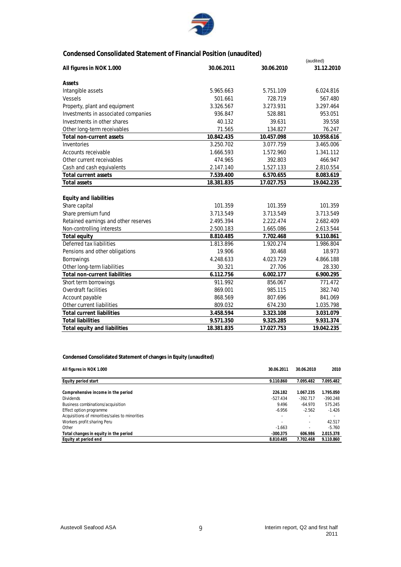

### **Condensed Consolidated Statement of Financial Position (unaudited)**

|                                      |            |            | (audited)  |
|--------------------------------------|------------|------------|------------|
| All figures in NOK 1.000             | 30.06.2011 | 30.06.2010 | 31.12.2010 |
| Assets                               |            |            |            |
| Intangible assets                    | 5.965.663  | 5.751.109  | 6.024.816  |
| <b>Vessels</b>                       | 501.661    | 728.719    | 567.480    |
| Property, plant and equipment        | 3.326.567  | 3.273.931  | 3.297.464  |
| Investments in associated companies  | 936.847    | 528.881    | 953.051    |
| Investments in other shares          | 40.132     | 39.631     | 39.558     |
| Other long-term receivables          | 71.565     | 134.827    | 76.247     |
| <b>Total non-current assets</b>      | 10.842.435 | 10.457.098 | 10.958.616 |
| Inventories                          | 3.250.702  | 3.077.759  | 3.465.006  |
| <b>Accounts receivable</b>           | 1.666.593  | 1.572.960  | 1.341.112  |
| Other current receivables            | 474.965    | 392.803    | 466.947    |
| Cash and cash equivalents            | 2.147.140  | 1.527.133  | 2.810.554  |
| <b>Total current assets</b>          | 7.539.400  | 6.570.655  | 8.083.619  |
| <b>Total assets</b>                  | 18.381.835 | 17.027.753 | 19.042.235 |
|                                      |            |            |            |
| <b>Equity and liabilities</b>        |            |            |            |
| Share capital                        | 101.359    | 101.359    | 101.359    |
| Share premium fund                   | 3.713.549  | 3.713.549  | 3.713.549  |
| Retained earnings and other reserves | 2.495.394  | 2.222.474  | 2.682.409  |
| Non-controlling interests            | 2.500.183  | 1.665.086  | 2.613.544  |
| Total equity                         | 8.810.485  | 7.702.468  | 9.110.861  |
| Deferred tax liabilities             | 1.813.896  | 1.920.274  | 1.986.804  |
| Pensions and other obligations       | 19.906     | 30.468     | 18.973     |
| <b>Borrowings</b>                    | 4.248.633  | 4.023.729  | 4.866.188  |
| Other long-term liabilities          | 30.321     | 27.706     | 28.330     |
| <b>Total non-current liabilities</b> | 6.112.756  | 6.002.177  | 6.900.295  |
| Short term borrowings                | 911.992    | 856.067    | 771.472    |
| <b>Overdraft facilities</b>          | 869.001    | 985.115    | 382.740    |
| Account payable                      | 868.569    | 807.696    | 841.069    |
| Other current liabilities            | 809.032    | 674.230    | 1.035.798  |
| <b>Total current liabilities</b>     | 3.458.594  | 3.323.108  | 3.031.079  |
| <b>Total liabilities</b>             | 9.571.350  | 9.325.285  | 9.931.374  |
| Total equity and liabilities         | 18.381.835 | 17.027.753 | 19.042.235 |

**Condensed Consolidated Statement of changes in Equity (unaudited)**

| All figures in NOK 1.000                       | 30.06.2011 | 30.06.2010 | 2010       |
|------------------------------------------------|------------|------------|------------|
| Equity period start                            | 9.110.860  | 7.095.482  | 7.095.482  |
|                                                |            |            |            |
| Comprehensive income in the period             | 226.182    | 1.067.235  | 1.795.050  |
| <b>Dividends</b>                               | $-527.434$ | $-392.717$ | $-390.248$ |
| Business combinations/acquisition              | 9.496      | $-64.970$  | 575.245    |
| Effect option programme                        | $-6.956$   | $-2.562$   | $-1.426$   |
| Acquisitions of minorities/sales to minorities |            | ٠          |            |
| Workers profit sharing Peru                    |            | ٠          | 42.517     |
| Other                                          | $-1.663$   |            | $-5.760$   |
| Total changes in equity in the period          | $-300.375$ | 606.986    | 2.015.378  |
| Equity at period end                           | 8.810.485  | 7.702.468  | 9.110.860  |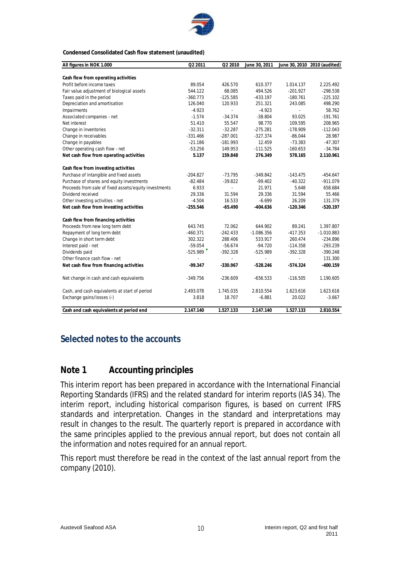

#### **Condensed Consolidated Cash flow statement (unaudited)**

| All figures in NOK 1.000                              | Q2 2011    | Q2 2010                  | June 30, 2011 |            | June 30, 2010 2010 (audited) |
|-------------------------------------------------------|------------|--------------------------|---------------|------------|------------------------------|
|                                                       |            |                          |               |            |                              |
| Cash flow from operating activities                   |            |                          |               |            |                              |
| Profit before income taxes                            | 89.054     | 426.570                  | 610.377       | 1.014.137  | 2.225.492                    |
| Fair value adjustment of biological assets            | 544.122    | 68.085                   | 494.526       | $-201.927$ | $-298.538$                   |
| Taxes paid in the period                              | $-360.773$ | $-125.585$               | $-433.197$    | $-180.761$ | $-225.102$                   |
| Depreciation and amortisation                         | 126.040    | 120.933                  | 251.321       | 243.085    | 498.290                      |
| Impairments                                           | $-4.923$   | $\overline{a}$           | $-4.923$      | L.         | 58.762                       |
| Associated companies - net                            | $-1.574$   | $-34.374$                | $-38.804$     | 93.025     | $-191.761$                   |
| Net interest                                          | 51.410     | 55.547                   | 98.770        | 109.595    | 208.965                      |
| Change in inventories                                 | $-32.311$  | $-32.287$                | $-275.281$    | $-178.909$ | $-112.043$                   |
| Change in receivables                                 | $-331.466$ | $-287.001$               | $-327.374$    | $-86.044$  | 28.987                       |
| Change in payables                                    | $-21.186$  | $-181.993$               | 12.459        | $-73.383$  | $-47.307$                    |
| Other operating cash flow - net                       | $-53.256$  | 149.953                  | $-111.525$    | $-160.653$ | $-34.784$                    |
| Net cash flow from operating activities               | 5.137      | 159.848                  | 276.349       | 578.165    | 2.110.961                    |
| Cash flow from investing activities                   |            |                          |               |            |                              |
| Purchase of intangible and fixed assets               | $-204.827$ | $-73.795$                | $-349.842$    | $-143.475$ | $-454.647$                   |
| Purchase of shares and equity investments             | $-82.484$  | $-39.822$                | $-99.402$     | $-40.322$  | $-911.079$                   |
| Proceeds from sale of fixed assets/equity investments | 6.933      | $\overline{\phantom{a}}$ | 21.971        | 5.648      | 658.684                      |
| Dividend received                                     | 29.336     | 31.594                   | 29.336        | 31.594     | 55.466                       |
| Other investing activities - net                      | $-4.504$   | 16.533                   | $-6.699$      | 26.209     | 131.379                      |
| Net cash flow from investing activities               | $-255.546$ | $-65.490$                | $-404.636$    | $-120.346$ | $-520.197$                   |
| Cash flow from financing activities                   |            |                          |               |            |                              |
| Proceeds from new long term debt                      | 643.745    | 72.062                   | 644.902       | 89.241     | 1.397.807                    |
| Repayment of long term debt                           | $-460.371$ | $-242.433$               | $-1.086.356$  | $-417.353$ | $-1.010.883$                 |
| Change in short term debt                             | 302.322    | 288.406                  | 533.917       | 260.474    | $-234.896$                   |
| Interest paid - net                                   | $-59.054$  | $-56.674$                | $-94.720$     | $-114.358$ | $-293.239$                   |
| Dividends paid                                        | $-525.989$ | $-392.328$               | $-525.989$    | $-392.328$ | $-390.248$                   |
| Other finance cash flow - net                         |            |                          |               |            | 131.300                      |
| Net cash flow from financing activities               | $-99.347$  | $-330.967$               | $-528.246$    | $-574.324$ | $-400.159$                   |
| Net change in cash and cash equivalents               | $-349.756$ | $-236.609$               | $-656.533$    | $-116.505$ | 1.190.605                    |
| Cash, and cash equivalents at start of period         | 2.493.078  | 1.745.035                | 2.810.554     | 1.623.616  | 1.623.616                    |
| Exchange gains/losses (-)                             | 3.818      | 18.707                   | $-6.881$      | 20.022     | $-3.667$                     |
| Cash and cash equivalents at period end               | 2.147.140  | 1.527.133                | 2.147.140     | 1.527.133  | 2.810.554                    |

# **Selected notes to the accounts**

# **Note 1 Accounting principles**

This interim report has been prepared in accordance with the International Financial Reporting Standards (IFRS) and the related standard for interim reports (IAS 34). The interim report, including historical comparison figures, is based on current IFRS standards and interpretation. Changes in the standard and interpretations may result in changes to the result. The quarterly report is prepared in accordance with the same principles applied to the previous annual report, but does not contain all the information and notes required for an annual report.

This report must therefore be read in the context of the last annual report from the company (2010).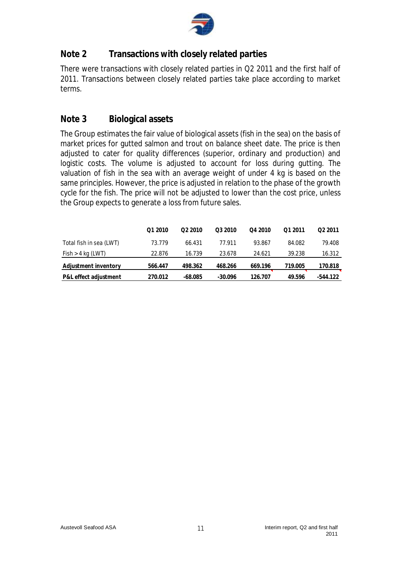

# **Note 2 Transactions with closely related parties**

There were transactions with closely related parties in Q2 2011 and the first half of 2011. Transactions between closely related parties take place according to market terms.

# **Note 3 Biological assets**

The Group estimates the fair value of biological assets (fish in the sea) on the basis of market prices for gutted salmon and trout on balance sheet date. The price is then adjusted to cater for quality differences (superior, ordinary and production) and logistic costs. The volume is adjusted to account for loss during gutting. The valuation of fish in the sea with an average weight of under 4 kg is based on the same principles. However, the price is adjusted in relation to the phase of the growth cycle for the fish. The price will not be adjusted to lower than the cost price, unless the Group expects to generate a loss from future sales.

|                         | Q1 2010 | O <sub>2</sub> 2010 | Q3 2010   | Q4 2010 | 01 2011 | O <sub>2</sub> 2011 |
|-------------------------|---------|---------------------|-----------|---------|---------|---------------------|
| Total fish in sea (LWT) | 73.779  | 66.431              | 77.911    | 93.867  | 84.082  | 79.408              |
| $Fish > 4$ kg (LWT)     | 22.876  | 16.739              | 23.678    | 24.621  | 39.238  | 16.312              |
| Adjustment inventory    | 566.447 | 498.362             | 468.266   | 669.196 | 719.005 | 170.818             |
| P&L effect adjustment   | 270.012 | $-68.085$           | $-30.096$ | 126.707 | 49.596  | -544.122            |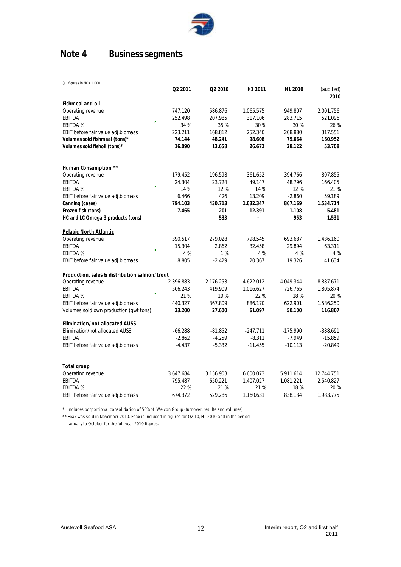

# **Note 4 Business segments**

| (all figures in NOK 1.000)                    |           |           |            |            |                   |
|-----------------------------------------------|-----------|-----------|------------|------------|-------------------|
|                                               | Q2 2011   | Q2 2010   | H1 2011    | H1 2010    | (audited)<br>2010 |
| <b>Fishmeal and oil</b>                       |           |           |            |            |                   |
| Operating revenue                             | 747.120   | 586.876   | 1.065.575  | 949.807    | 2.001.756         |
| <b>EBITDA</b><br>ä,                           | 252.498   | 207.985   | 317.106    | 283.715    | 521.096           |
| <b>EBITDA %</b>                               | 34 %      | 35 %      | 30%        | 30 %       | 26 %              |
| EBIT before fair value adj.biomass            | 223.211   | 168.812   | 252.340    | 208.880    | 317.551           |
| Volumes sold fishmeal (tons)*                 | 74.144    | 48.241    | 98.608     | 79.664     | 160.952           |
| Volumes sold fishoil (tons)*                  | 16.090    | 13.658    | 26.672     | 28.122     | 53.708            |
| Human Consumption **                          |           |           |            |            |                   |
| Operating revenue                             | 179.452   | 196.598   | 361.652    | 394.766    | 807.855           |
| <b>EBITDA</b>                                 | 24.304    | 23.724    | 49.147     | 48.796     | 166.405           |
| F<br><b>EBITDA %</b>                          | 14 %      | 12%       | 14 %       | 12 %       | 21 %              |
| EBIT before fair value adj.biomass            | 6.466     | 426       | 13.209     | $-2.860$   | 59.189            |
| Canning (cases)                               | 794.103   | 430.713   | 1.632.347  | 867.169    | 1.534.714         |
| Frozen fish (tons)                            | 7.465     | 201       | 12.391     | 1.108      | 5.481             |
| HC and LC Omega 3 products (tons)             |           | 533       |            | 953        | 1.531             |
| Pelagic North Atlantic                        |           |           |            |            |                   |
| Operating revenue                             | 390.517   | 279.028   | 798.545    | 693.687    | 1.436.160         |
| <b>EBITDA</b><br>p.                           | 15.304    | 2.862     | 32.458     | 29.894     | 63.311            |
| <b>EBITDA %</b>                               | 4 %       | 1%        | 4 %        | 4 %        | 4 %               |
| EBIT before fair value adj.biomass            | 8.805     | $-2.429$  | 20.367     | 19.326     | 41.634            |
| Production, sales & distribution salmon/trout |           |           |            |            |                   |
| Operating revenue                             | 2.396.883 | 2.176.253 | 4.622.012  | 4.049.344  | 8.887.671         |
| <b>EBITDA</b><br>Î.                           | 506.243   | 419.909   | 1.016.627  | 726.765    | 1.805.874         |
| <b>EBITDA %</b>                               | 21%       | 19%       | 22%        | 18 %       | 20 %              |
| EBIT before fair value adj.biomass            | 440.327   | 367.809   | 886.170    | 622.901    | 1.586.250         |
| Volumes sold own production (gwt tons)        | 33.200    | 27.600    | 61.097     | 50.100     | 116.807           |
| Elimination/not allocated AUSS                |           |           |            |            |                   |
| <b>Elimination/not allocated AUSS</b>         | $-66.288$ | -81.852   | $-247.711$ | $-175.990$ | $-388.691$        |
| <b>EBITDA</b>                                 | $-2.862$  | $-4.259$  | $-8.311$   | $-7.949$   | $-15.859$         |
| EBIT before fair value adj.biomass            | $-4.437$  | $-5.332$  | $-11.455$  | $-10.113$  | $-20.849$         |
| Total group                                   |           |           |            |            |                   |
| Operating revenue                             | 3.647.684 | 3.156.903 | 6.600.073  | 5.911.614  | 12.744.751        |
| <b>EBITDA</b>                                 | 795.487   | 650.221   | 1.407.027  | 1.081.221  | 2.540.827         |
| <b>EBITDA %</b>                               | 22%       | 21%       | 21%        | 18 %       | 20 %              |

\* Includes porportional consolidation of 50% of Welcon Group (turnover, results and volumes)

\*\* Epax was sold in November 2010. Epax is included in figures for Q2 10, H1 2010 and in the period January to October for the full-year 2010 figures.

EBIT before fair value adj.biomass 674.372 529.286 1.160.631 838.134 1.983.775